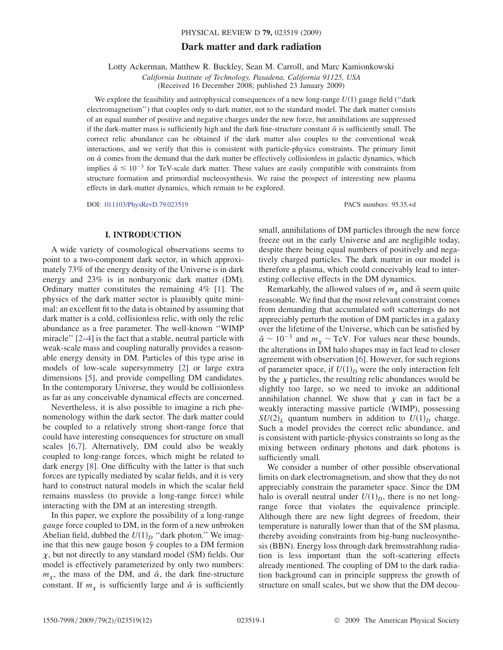# Dark matter and dark radiation

Lotty Ackerman, Matthew R. Buckley, Sean M. Carroll, and Marc Kamionkowski

California Institute of Technology, Pasadena, California 91125, USA (Received 16 December 2008; published 23 January 2009)

We explore the feasibility and astrophysical consequences of a new long-range  $U(1)$  gauge field ("dark electromagnetism'') that couples only to dark matter, not to the standard model. The dark matter consists of an equal number of positive and negative charges under the new force, but annihilations are suppressed if the dark-matter mass is sufficiently high and the dark fine-structure constant  $\hat{\alpha}$  is sufficiently small. The correct relic abundance can be obtained if the dark matter also couples to the conventional weak interactions, and we verify that this is consistent with particle-physics constraints. The primary limit on  $\hat{\alpha}$  comes from the demand that the dark matter be effectively collisionless in galactic dynamics, which implies  $\hat{\alpha} \le 10^{-3}$  for TeV-scale dark matter. These values are easily compatible with constraints from structure formation and primordial nucleosynthesis. We raise the prospect of interesting new plasma effects in dark-matter dynamics, which remain to be explored.

DOI: [10.1103/PhysRevD.79.023519](http://dx.doi.org/10.1103/PhysRevD.79.023519) PACS numbers: 95.35.+d

## I. INTRODUCTION

A wide variety of cosmological observations seems to point to a two-component dark sector, in which approximately 73% of the energy density of the Universe is in dark energy and 23% is in nonbaryonic dark matter (DM). Ordinary matter constitutes the remaining 4% [1]. The physics of the dark matter sector is plausibly quite minimal: an excellent fit to the data is obtained by assuming that dark matter is a cold, collisionless relic, with only the relic abundance as a free parameter. The well-known ''WIMP miracle'' [2–[4](#page-10-0)] is the fact that a stable, neutral particle with weak-scale mass and coupling naturally provides a reasonable energy density in DM. Particles of this type arise in models of low-scale supersymmetry [2] or large extra dimensions [\[5](#page-10-0)], and provide compelling DM candidates. In the contemporary Universe, they would be collisionless as far as any conceivable dynamical effects are concerned.

Nevertheless, it is also possible to imagine a rich phenomenology within the dark sector. The dark matter could be coupled to a relatively strong short-range force that could have interesting consequences for structure on small scales [[6,7\]](#page-10-0). Alternatively, DM could also be weakly coupled to long-range forces, which might be related to dark energy [[8](#page-10-0)]. One difficulty with the latter is that such forces are typically mediated by scalar fields, and it is very hard to construct natural models in which the scalar field remains massless (to provide a long-range force) while interacting with the DM at an interesting strength.

In this paper, we explore the possibility of a long-range gauge force coupled to DM, in the form of a new unbroken Abelian field, dubbed the  $U(1)_D$  "dark photon." We imagine that this new gauge boson  $\hat{\gamma}$  couples to a DM fermion  $\chi$ , but not directly to any standard model (SM) fields. Our model is effectively parameterized by only two numbers:  $m<sub>x</sub>$ , the mass of the DM, and  $\hat{\alpha}$ , the dark fine-structure constant. If  $m_{\chi}$  is sufficiently large and  $\hat{\alpha}$  is sufficiently small, annihilations of DM particles through the new force freeze out in the early Universe and are negligible today, despite there being equal numbers of positively and negatively charged particles. The dark matter in our model is therefore a plasma, which could conceivably lead to interesting collective effects in the DM dynamics.

Remarkably, the allowed values of  $m<sub>v</sub>$  and  $\hat{\alpha}$  seem quite reasonable. We find that the most relevant constraint comes from demanding that accumulated soft scatterings do not appreciably perturb the motion of DM particles in a galaxy over the lifetime of the Universe, which can be satisfied by  $\hat{\alpha} \sim 10^{-3}$  and  $m_{\chi} \sim \text{TeV}$ . For values near these bounds, the alterations in DM halo shapes may in fact lead to closer agreement with observation [[6](#page-10-0)]. However, for such regions of parameter space, if  $U(1)_D$  were the only interaction felt by the  $\chi$  particles, the resulting relic abundances would be slightly too large, so we need to invoke an additional annihilation channel. We show that  $\chi$  can in fact be a weakly interacting massive particle (WIMP), possessing  $SU(2)_L$  quantum numbers in addition to  $U(1)_D$  charge. Such a model provides the correct relic abundance, and is consistent with particle-physics constraints so long as the mixing between ordinary photons and dark photons is sufficiently small.

We consider a number of other possible observational limits on dark electromagnetism, and show that they do not appreciably constrain the parameter space. Since the DM halo is overall neutral under  $U(1)_D$ , there is no net longrange force that violates the equivalence principle. Although there are new light degrees of freedom, their temperature is naturally lower than that of the SM plasma, thereby avoiding constraints from big-bang nucleosynthesis (BBN). Energy loss through dark bremsstrahlung radiation is less important than the soft-scattering effects already mentioned. The coupling of DM to the dark radiation background can in principle suppress the growth of structure on small scales, but we show that the DM decou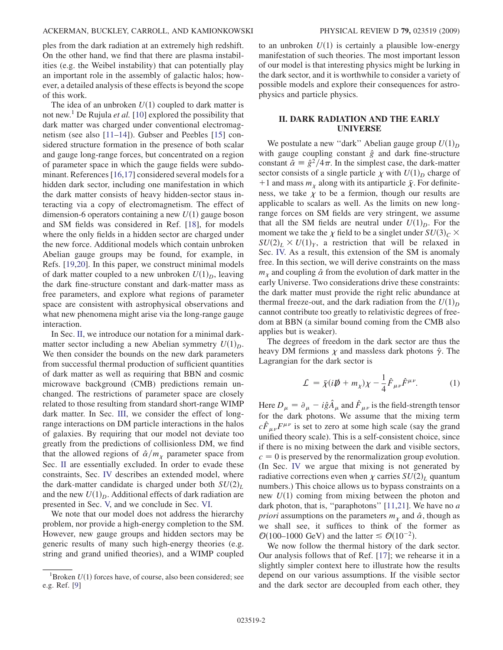ples from the dark radiation at an extremely high redshift. On the other hand, we find that there are plasma instabilities (e.g. the Weibel instability) that can potentially play an important role in the assembly of galactic halos; however, a detailed analysis of these effects is beyond the scope of this work.

The idea of an unbroken  $U(1)$  coupled to dark matter is not new.<sup>1</sup> De Rujula *et al.* [10] explored the possibility that dark matter was charged under conventional electromagnetism (see also [11–14]). Gubser and Peebles [15] considered structure formation in the presence of both scalar and gauge long-range forces, but concentrated on a region of parameter space in which the gauge fields were subdominant. References [16,17] considered several models for a hidden dark sector, including one manifestation in which the dark matter consists of heavy hidden-sector staus interacting via a copy of electromagnetism. The effect of dimension-6 operators containing a new  $U(1)$  gauge boson and SM fields was considered in Ref. [18], for models where the only fields in a hidden sector are charged under the new force. Additional models which contain unbroken Abelian gauge groups may be found, for example, in Refs. [19,20]. In this paper, we construct minimal models of dark matter coupled to a new unbroken  $U(1)_D$ , leaving the dark fine-structure constant and dark-matter mass as free parameters, and explore what regions of parameter space are consistent with astrophysical observations and what new phenomena might arise via the long-range gauge interaction.

In Sec. II, we introduce our notation for a minimal darkmatter sector including a new Abelian symmetry  $U(1)<sub>D</sub>$ . We then consider the bounds on the new dark parameters from successful thermal production of sufficient quantities of dark matter as well as requiring that BBN and cosmic microwave background (CMB) predictions remain unchanged. The restrictions of parameter space are closely related to those resulting from standard short-range WIMP dark matter. In Sec. III, we consider the effect of longrange interactions on DM particle interactions in the halos of galaxies. By requiring that our model not deviate too greatly from the predictions of collisionless DM, we find that the allowed regions of  $\hat{\alpha}/m_{\chi}$  parameter space from Sec. II are essentially excluded. In order to evade these constraints, Sec. IV describes an extended model, where the dark-matter candidate is charged under both  $SU(2)_L$ and the new  $U(1)_D$ . Additional effects of dark radiation are presented in Sec. V, and we conclude in Sec. VI.

We note that our model does not address the hierarchy problem, nor provide a high-energy completion to the SM. However, new gauge groups and hidden sectors may be generic results of many such high-energy theories (e.g. string and grand unified theories), and a WIMP coupled to an unbroken  $U(1)$  is certainly a plausible low-energy manifestation of such theories. The most important lesson of our model is that interesting physics might be lurking in the dark sector, and it is worthwhile to consider a variety of possible models and explore their consequences for astrophysics and particle physics.

# II. DARK RADIATION AND THE EARLY UNIVERSE

We postulate a new "dark" Abelian gauge group  $U(1)_D$ with gauge coupling constant  $\hat{g}$  and dark fine-structure constant  $\hat{\alpha} = \hat{g}^2/4\pi$ . In the simplest case, the dark-matter sector consists of a single particle  $\chi$  with  $U(1)_D$  charge of +1 and mass  $m_{\chi}$  along with its antiparticle  $\bar{\chi}$ . For definiteness, we take  $\chi$  to be a fermion, though our results are applicable to scalars as well. As the limits on new longrange forces on SM fields are very stringent, we assume that all the SM fields are neutral under  $U(1)_D$ . For the moment we take the  $\chi$  field to be a singlet under  $SU(3)_C \times$  $SU(2)_L \times U(1)_Y$ , a restriction that will be relaxed in Sec. IV. As a result, this extension of the SM is anomaly free. In this section, we will derive constraints on the mass  $m<sub>v</sub>$  and coupling  $\hat{\alpha}$  from the evolution of dark matter in the early Universe. Two considerations drive these constraints: the dark matter must provide the right relic abundance at thermal freeze-out, and the dark radiation from the  $U(1)<sub>D</sub>$ cannot contribute too greatly to relativistic degrees of freedom at BBN (a similar bound coming from the CMB also applies but is weaker).

The degrees of freedom in the dark sector are thus the heavy DM fermions  $\chi$  and massless dark photons  $\hat{\gamma}$ . The Lagrangian for the dark sector is

$$
\mathcal{L} = \bar{\chi}(i\rlap{/}D + m_{\chi})\chi - \frac{1}{4}\hat{F}_{\mu\nu}\hat{F}^{\mu\nu}.
$$
 (1)

Here  $D_{\mu} = \partial_{\mu} - i \hat{g} \hat{A}_{\mu}$  and  $\hat{F}_{\mu\nu}$  is the field-strength tensor for the dark photons. We assume that the mixing term  $c\hat{F}_{\mu\nu}F^{\mu\nu}$  is set to zero at some high scale (say the grand unified theory scale). This is a self-consistent choice, since if there is no mixing between the dark and visible sectors,  $c = 0$  is preserved by the renormalization group evolution. (In Sec. IV we argue that mixing is not generated by radiative corrections even when  $\chi$  carries  $SU(2)_L$  quantum numbers.) This choice allows us to bypass constraints on a new  $U(1)$  coming from mixing between the photon and dark photon, that is, "paraphotons" [11,21]. We have no  $a$ *priori* assumptions on the parameters  $m<sub>x</sub>$  and  $\hat{\alpha}$ , though as we shall see, it suffices to think of the former as  $\mathcal{O}(100-1000 \text{ GeV})$  and the latter  $\leq \mathcal{O}(10^{-2})$ .

We now follow the thermal history of the dark sector. Our analysis follows that of Ref. [17]; we rehearse it in a slightly simpler context here to illustrate how the results depend on our various assumptions. If the visible sector and the dark sector are decoupled from each other, they

<sup>&</sup>lt;sup>1</sup>Broken  $U(1)$  forces have, of course, also been considered; see e.g. Ref. [[9\]](#page-10-0)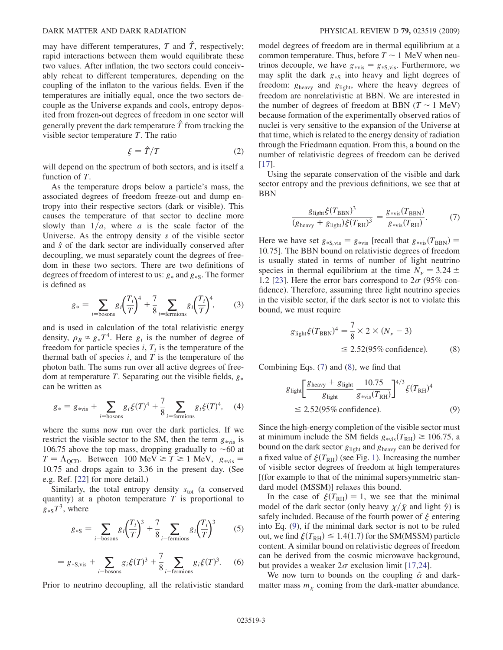#### <span id="page-2-0"></span>DARK MATTER AND DARK RADIATION PHYSICAL REVIEW D 79, 023519 (2009)

may have different temperatures, T and  $\hat{T}$ , respectively; rapid interactions between them would equilibrate these two values. After inflation, the two sectors could conceivably reheat to different temperatures, depending on the coupling of the inflaton to the various fields. Even if the temperatures are initially equal, once the two sectors decouple as the Universe expands and cools, entropy deposited from frozen-out degrees of freedom in one sector will generally prevent the dark temperature  $\hat{T}$  from tracking the visible sector temperature  $T$ . The ratio

$$
\xi = \hat{T}/T \tag{2}
$$

will depend on the spectrum of both sectors, and is itself a function of T.

As the temperature drops below a particle's mass, the associated degrees of freedom freeze-out and dump entropy into their respective sectors (dark or visible). This causes the temperature of that sector to decline more slowly than  $1/a$ , where a is the scale factor of the Universe. As the entropy density s of the visible sector and  $\hat{s}$  of the dark sector are individually conserved after decoupling, we must separately count the degrees of freedom in these two sectors. There are two definitions of degrees of freedom of interest to us:  $g_*$  and  $g_{*s}$ . The former is defined as

$$
g_* = \sum_{i=\text{bosons}} g_i \left(\frac{T_i}{T}\right)^4 + \frac{7}{8} \sum_{i=\text{fermions}} g_i \left(\frac{T_i}{T}\right)^4,\tag{3}
$$

and is used in calculation of the total relativistic energy density,  $\rho_R \propto g_* T^4$ . Here  $g_i$  is the number of degree of freedom for particle species  $i, T_i$  is the temperature of the thermal bath of species  $i$ , and  $T$  is the temperature of the photon bath. The sums run over all active degrees of freedom at temperature T. Separating out the visible fields,  $g_*$ can be written as

$$
g_* = g_{*vis} + \sum_{i=\text{bosons}} g_i \xi(T)^4 + \frac{7}{8} \sum_{i=\text{fermions}} g_i \xi(T)^4, \quad (4)
$$

where the sums now run over the dark particles. If we restrict the visible sector to the SM, then the term  $g_{\text{avis}}$  is 106.75 above the top mass, dropping gradually to  $\sim$  60 at  $T = \Lambda_{\text{QCD}}$ . Between 100 MeV  $\gtrsim T \gtrsim 1$  MeV,  $g_{\text{*vis}} =$ 10:75 and drops again to 3.36 in the present day. (See e.g. Ref. [22] for more detail.)

Similarly, the total entropy density  $s_{\text{tot}}$  (a conserved quantity) at a photon temperature  $T$  is proportional to  $g_{\ast S}T^3$ , where

$$
g_{\ast S} = \sum_{i=\text{bosons}} g_i \left(\frac{T_i}{T}\right)^3 + \frac{7}{8} \sum_{i=\text{fermions}} g_i \left(\frac{T_i}{T}\right)^3 \tag{5}
$$

$$
= g_{*S, vis} + \sum_{i = \text{bosons}} g_i \xi(T)^3 + \frac{7}{8} \sum_{i = \text{fermions}} g_i \xi(T)^3. \tag{6}
$$

Prior to neutrino decoupling, all the relativistic standard

model degrees of freedom are in thermal equilibrium at a common temperature. Thus, before  $T \sim 1$  MeV when neutrinos decouple, we have  $g_{\text{*vis}} = g_{\text{*S,vis}}$ . Furthermore, we may split the dark  $g_{\ast S}$  into heavy and light degrees of freedom:  $g_{\text{heavy}}$  and  $g_{\text{light}}$ , where the heavy degrees of freedom are nonrelativistic at BBN. We are interested in the number of degrees of freedom at BBN  $(T \sim 1 \text{ MeV})$ because formation of the experimentally observed ratios of nuclei is very sensitive to the expansion of the Universe at that time, which is related to the energy density of radiation through the Friedmann equation. From this, a bound on the number of relativistic degrees of freedom can be derived [17].

Using the separate conservation of the visible and dark sector entropy and the previous definitions, we see that at BBN

$$
\frac{g_{\text{light}}\xi(T_{\text{BBN}})^3}{(g_{\text{heavy}} + g_{\text{light}})\xi(T_{\text{RH}})^3} = \frac{g_{\text{*vis}}(T_{\text{BBN}})}{g_{\text{*vis}}(T_{\text{RH}})}.
$$
(7)

Here we have set  $g_{\rm *S,vis} = g_{\rm *vis}$  [recall that  $g_{\rm *vis}(T_{\rm BBN}) =$ 10:75]. The BBN bound on relativistic degrees of freedom is usually stated in terms of number of light neutrino species in thermal equilibrium at the time  $N_{\nu} = 3.24 \pm$ 1.2 [23]. Here the error bars correspond to  $2\sigma$  (95% confidence). Therefore, assuming three light neutrino species in the visible sector, if the dark sector is not to violate this bound, we must require

$$
g_{\text{light}}\xi(T_{\text{BBN}})^4 = \frac{7}{8} \times 2 \times (N_{\nu} - 3)
$$
  
\n
$$
\leq 2.52(95\% \text{ confidence}).
$$
 (8)

Combining Eqs. (7) and (8), we find that

$$
g_{\text{light}} \left[ \frac{g_{\text{heavy}} + g_{\text{light}}}{g_{\text{light}}} \frac{10.75}{g_{\text{*vis}}(T_{\text{RH}})} \right]^{4/3} \xi (T_{\text{RH}})^4
$$
  

$$
\leq 2.52(95\% \text{ confidence}). \tag{9}
$$

Since the high-energy completion of the visible sector must at minimum include the SM fields  $g_{\text{*vis}}(T_{\text{RH}}) \ge 106.75$ , a bound on the dark sector  $g_{\text{light}}$  and  $g_{\text{heavy}}$  can be derived for a fixed value of  $\xi(T_{\rm RH})$  (see Fig. [1\)](#page-3-0). Increasing the number of visible sector degrees of freedom at high temperatures [(for example to that of the minimal supersymmetric standard model (MSSM)] relaxes this bound.

In the case of  $\xi(T_{\text{RH}}) = 1$ , we see that the minimal model of the dark sector (only heavy  $\chi/\bar{\chi}$  and light  $\hat{\gamma}$ ) is safely included. Because of the fourth power of  $\xi$  entering into Eq. (9), if the minimal dark sector is not to be ruled out, we find  $\xi(T_{\text{RH}}) \leq 1.4(1.7)$  for the SM(MSSM) particle content. A similar bound on relativistic degrees of freedom can be derived from the cosmic microwave background, but provides a weaker  $2\sigma$  exclusion limit [17,24].

We now turn to bounds on the coupling  $\hat{\alpha}$  and darkmatter mass  $m<sub>x</sub>$  coming from the dark-matter abundance.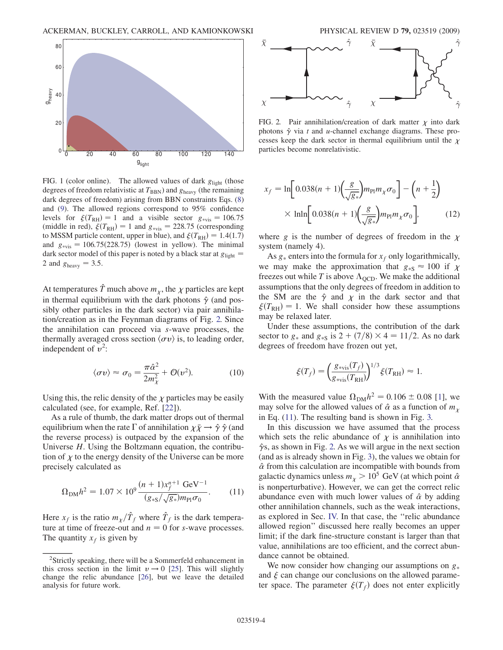<span id="page-3-0"></span>

FIG. 1 (color online). The allowed values of dark  $g_{\text{light}}$  (those degrees of freedom relativistic at  $T_{\rm BBN}$ ) and  $g_{\rm heavy}$  (the remaining dark degrees of freedom) arising from BBN constraints Eqs. [\(8\)](#page-2-0) and ([9](#page-2-0)). The allowed regions correspond to 95% confidence levels for  $\xi(T_{\text{RH}}) = 1$  and a visible sector  $g_{\text{avis}} = 106.75$ (middle in red),  $\xi(T_{\text{RH}}) = 1$  and  $g_{\text{*vis}} = 228.75$  (corresponding to MSSM particle content, upper in blue), and  $\xi(T_{\rm RH}) = 1.4(1.7)$ and  $g_{\text{*vis}} = 106.75(228.75)$  (lowest in yellow). The minimal dark sector model of this paper is noted by a black star at  $g_{\text{light}} =$ 2 and  $g_{\text{heavy}} = 3.5$ .

At temperatures  $\hat{T}$  much above  $m<sub>v</sub>$ , the  $\chi$  particles are kept in thermal equilibrium with the dark photons  $\hat{\gamma}$  (and possibly other particles in the dark sector) via pair annihilation/creation as in the Feynman diagrams of Fig. 2. Since the annihilation can proceed via s-wave processes, the thermally averaged cross section  $\langle \sigma v \rangle$  is, to leading order, independent of  $v^2$ :

$$
\langle \sigma v \rangle \approx \sigma_0 = \frac{\pi \hat{\alpha}^2}{2m_\chi^2} + \mathcal{O}(v^2). \tag{10}
$$

Using this, the relic density of the  $\chi$  particles may be easily calculated (see, for example, Ref. [22]).

As a rule of thumb, the dark matter drops out of thermal equilibrium when the rate  $\Gamma$  of annihilation  $\chi \bar{\chi} \to \hat{\gamma} \hat{\gamma}$  (and the reverse process) is outpaced by the expansion of the Universe  $H$ . Using the Boltzmann equation, the contribution of  $\chi$  to the energy density of the Universe can be more precisely calculated as

$$
\Omega_{\rm DM} h^2 = 1.07 \times 10^9 \frac{(n+1)x_f^{n+1} \text{ GeV}^{-1}}{(g_{*S}/\sqrt{g_*})m_{\rm Pl}\sigma_0}.
$$
 (11)

Here  $x_f$  is the ratio  $m_\chi/\hat{T}_f$  where  $\hat{T}_f$  is the dark temperature at time of freeze-out and  $n = 0$  for s-wave processes. The quantity  $x_f$  is given by



FIG. 2. Pair annihilation/creation of dark matter  $\chi$  into dark photons  $\hat{\gamma}$  via t and u-channel exchange diagrams. These processes keep the dark sector in thermal equilibrium until the  $\chi$ 

$$
x_f = \ln\left[0.038(n+1)\left(\frac{g}{\sqrt{g_*}}\right)m_{\rm Pl}m_{\chi}\sigma_0\right] - \left(n+\frac{1}{2}\right)
$$

$$
\times \ln\ln\left[0.038(n+1)\left(\frac{g}{\sqrt{g_*}}\right)m_{\rm Pl}m_{\chi}\sigma_0\right],\tag{12}
$$

where g is the number of degrees of freedom in the  $\chi$ system (namely 4).

As  $g_*$  enters into the formula for  $x_f$  only logarithmically, we may make the approximation that  $g_{\ast S} \approx 100$  if  $\chi$ freezes out while T is above  $\Lambda_{\text{QCD}}$ . We make the additional assumptions that the only degrees of freedom in addition to the SM are the  $\hat{\gamma}$  and  $\chi$  in the dark sector and that  $\xi(T_{\text{RH}}) = 1$ . We shall consider how these assumptions may be relaxed later.

Under these assumptions, the contribution of the dark sector to  $g_*$  and  $g_{*s}$  is 2 + (7/8)  $\times$  4 = 11/2. As no dark degrees of freedom have frozen out yet,

$$
\xi(T_f) = \left(\frac{g_{\text{*vis}}(T_f)}{g_{\text{*vis}}(T_{\text{RH}})}\right)^{1/3} \xi(T_{\text{RH}}) \approx 1.
$$

With the measured value  $\Omega_{\text{DM}} h^2 = 0.106 \pm 0.08$  [1], we may solve for the allowed values of  $\hat{\alpha}$  as a function of  $m_{\gamma}$ in Eq. (11). The resulting band is shown in Fig. [3.](#page-4-0)

In this discussion we have assumed that the process which sets the relic abundance of  $\chi$  is annihilation into  $\hat{\gamma}$ s, as shown in Fig. 2. As we will argue in the next section (and as is already shown in Fig. [3\)](#page-4-0), the values we obtain for  $\hat{\alpha}$  from this calculation are incompatible with bounds from galactic dynamics unless  $m_{\chi} > 10^5$  GeV (at which point  $\hat{\alpha}$ is nonperturbative). However, we can get the correct relic abundance even with much lower values of  $\hat{\alpha}$  by adding other annihilation channels, such as the weak interactions, as explored in Sec. IV. In that case, the ''relic abundance allowed region'' discussed here really becomes an upper limit; if the dark fine-structure constant is larger than that value, annihilations are too efficient, and the correct abundance cannot be obtained.

We now consider how changing our assumptions on  $g_*$ and  $\xi$  can change our conclusions on the allowed parameter space. The parameter  $\xi(T_f)$  does not enter explicitly

<sup>&</sup>lt;sup>2</sup>Strictly speaking, there will be a Sommerfeld enhancement in this cross section in the limit  $v \rightarrow 0$  [25]. This will slightly change the relic abundance [26], but we leave the detailed analysis for future work.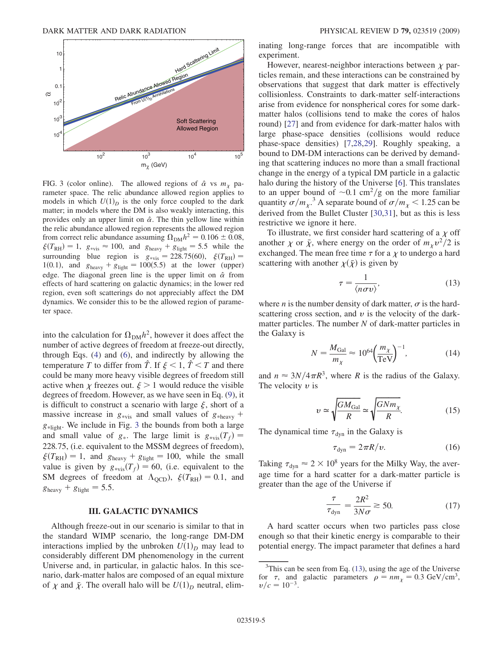<span id="page-4-0"></span>

FIG. 3 (color online). The allowed regions of  $\hat{\alpha}$  vs  $m_{\gamma}$  parameter space. The relic abundance allowed region applies to models in which  $U(1)_D$  is the only force coupled to the dark matter; in models where the DM is also weakly interacting, this provides only an upper limit on  $\hat{\alpha}$ . The thin yellow line within the relic abundance allowed region represents the allowed region from correct relic abundance assuming  $\Omega_{DM}h^2 = 0.106 \pm 0.08$ ,  $\xi(T_{\text{RH}}) = 1$ ,  $g_{\text{evis}} \approx 100$ , and  $g_{\text{heavy}} + g_{\text{light}} = 5.5$  while the surrounding blue region is  $g_{\text{*vis}} = 228.75(60), \xi(T_{\text{RH}}) =$ 1(0.1), and  $g_{\text{heavy}} + g_{\text{light}} = 100(5.5)$  at the lower (upper) edge. The diagonal green line is the upper limit on  $\hat{\alpha}$  from effects of hard scattering on galactic dynamics; in the lower red region, even soft scatterings do not appreciably affect the DM dynamics. We consider this to be the allowed region of parameter space.

into the calculation for  $\Omega_{DM}h^2$ , however it does affect the number of active degrees of freedom at freeze-out directly, through Eqs. [\(4\)](#page-2-0) and [\(6](#page-2-0)), and indirectly by allowing the temperature T to differ from  $\hat{T}$ . If  $\xi < 1$ ,  $\hat{T} < T$  and there could be many more heavy visible degrees of freedom still active when  $\chi$  freezes out.  $\xi > 1$  would reduce the visible degrees of freedom. However, as we have seen in Eq. ([9\)](#page-2-0), it is difficult to construct a scenario with large  $\xi$ , short of a massive increase in  $g_{\text{*vis}}$  and small values of  $g_{\text{*heavy}}$  +  $g_{\text{dipht}}$ . We include in Fig. 3 the bounds from both a large and small value of  $g_{\ast}$ . The large limit is  $g_{\ast}$ <sub>vis</sub> $(T_f)$  = 228:75, (i.e. equivalent to the MSSM degrees of freedom),  $\xi(T_{\text{RH}}) = 1$ , and  $g_{\text{heavy}} + g_{\text{light}} = 100$ , while the small value is given by  $g_{\text{*vis}}(T_f) = 60$ , (i.e. equivalent to the SM degrees of freedom at  $\Lambda_{\text{QCD}}$ ,  $\xi(T_{\text{RH}}) = 0.1$ , and  $g_{\text{heavy}} + g_{\text{light}} = 5.5.$ 

## III. GALACTIC DYNAMICS

Although freeze-out in our scenario is similar to that in the standard WIMP scenario, the long-range DM-DM interactions implied by the unbroken  $U(1)_D$  may lead to considerably different DM phenomenology in the current Universe and, in particular, in galactic halos. In this scenario, dark-matter halos are composed of an equal mixture of  $\chi$  and  $\bar{\chi}$ . The overall halo will be  $U(1)_D$  neutral, eliminating long-range forces that are incompatible with experiment.

However, nearest-neighbor interactions between  $\chi$  particles remain, and these interactions can be constrained by observations that suggest that dark matter is effectively collisionless. Constraints to dark-matter self-interactions arise from evidence for nonspherical cores for some darkmatter halos (collisions tend to make the cores of halos round) [27] and from evidence for dark-matter halos with large phase-space densities (collisions would reduce phase-space densities) [\[7,](#page-10-0)28,29]. Roughly speaking, a bound to DM-DM interactions can be derived by demanding that scattering induces no more than a small fractional change in the energy of a typical DM particle in a galactic halo during the history of the Universe [[6\]](#page-10-0). This translates to an upper bound of  $\sim 0.1 \text{ cm}^2/\text{g}$  on the more familiar quantity  $\sigma/m_{\chi}^3$ . A separate bound of  $\sigma/m_{\chi}$  < 1.25 can be derived from the Bullet Cluster [30,31], but as this is less restrictive we ignore it here.

To illustrate, we first consider hard scattering of a  $\chi$  off another  $\chi$  or  $\bar{\chi}$ , where energy on the order of  $m_{\chi}v^2/2$  is exchanged. The mean free time  $\tau$  for a  $\chi$  to undergo a hard scattering with another  $\chi(\bar{X})$  is given by

$$
\tau = \frac{1}{\langle n\sigma v \rangle},\tag{13}
$$

where *n* is the number density of dark matter,  $\sigma$  is the hardscattering cross section, and  $\nu$  is the velocity of the darkmatter particles. The number  $N$  of dark-matter particles in the Galaxy is

$$
N = \frac{M_{\text{Gal}}}{m_{\chi}} \approx 10^{64} \left(\frac{m_{\chi}}{\text{TeV}}\right)^{-1},\tag{14}
$$

and  $n \approx 3N/4\pi R^3$ , where R is the radius of the Galaxy. The velocity  $v$  is

$$
\upsilon \simeq \sqrt{\frac{GM_{\text{Gal}}}{R}} \simeq \sqrt{\frac{GNm_{\chi}}{R}}.\tag{15}
$$

The dynamical time  $\tau_{dyn}$  in the Galaxy is

$$
\tau_{\rm dyn} = 2\pi R/v. \tag{16}
$$

Taking  $\tau_{dyn} \approx 2 \times 10^8$  years for the Milky Way, the average time for a hard scatter for a dark-matter particle is greater than the age of the Universe if

$$
\frac{\tau}{\tau_{\text{dyn}}} = \frac{2R^2}{3N\sigma} \gtrsim 50. \tag{17}
$$

A hard scatter occurs when two particles pass close enough so that their kinetic energy is comparable to their potential energy. The impact parameter that defines a hard

 $3$ This can be seen from Eq. (13), using the age of the Universe for  $\tau$ , and galactic parameters  $\rho = nm_{\chi} = 0.3 \text{ GeV/cm}^3$ ,  $v/c=10^{-3}$ .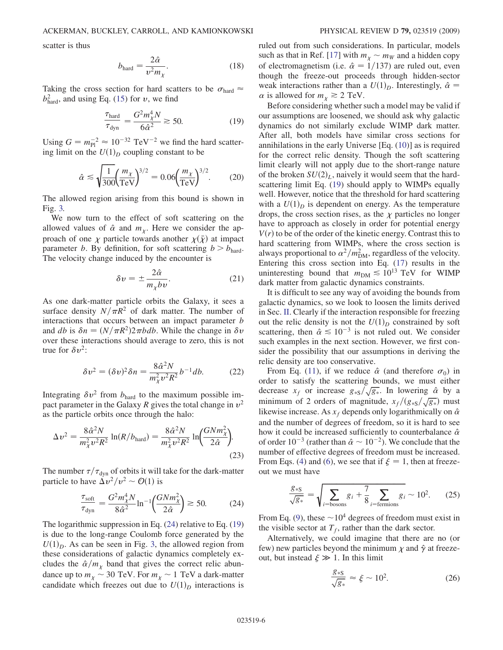<span id="page-5-0"></span>scatter is thus

$$
b_{\text{hard}} = \frac{2\hat{\alpha}}{v^2 m_{\chi}}.\tag{18}
$$

Taking the cross section for hard scatters to be  $\sigma_{\text{hard}} \approx$  $b<sub>hard</sub><sup>2</sup>$ , and using Eq. ([15\)](#page-4-0) for  $v$ , we find

$$
\frac{\tau_{\text{hard}}}{\tau_{\text{dyn}}} = \frac{G^2 m_{\chi}^4 N}{6\hat{\alpha}^2} \gtrsim 50. \tag{19}
$$

Using  $G = m_{\text{Pl}}^{-2} \approx 10^{-32} \text{ TeV}^{-2}$  we find the hard scattering limit on the  $U(1)_D$  coupling constant to be

$$
\hat{\alpha} \lesssim \sqrt{\frac{1}{300}} \left(\frac{m_{\chi}}{\text{TeV}}\right)^{3/2} = 0.06 \left(\frac{m_{\chi}}{\text{TeV}}\right)^{3/2}.
$$
 (20)

The allowed region arising from this bound is shown in Fig. [3.](#page-4-0)

We now turn to the effect of soft scattering on the allowed values of  $\hat{\alpha}$  and  $m_{\chi}$ . Here we consider the approach of one  $\chi$  particle towards another  $\chi(\bar{\chi})$  at impact parameter b. By definition, for soft scattering  $b > b<sub>hard</sub>$ . The velocity change induced by the encounter is

$$
\delta v = \pm \frac{2\hat{\alpha}}{m_{\chi}bv}.\tag{21}
$$

As one dark-matter particle orbits the Galaxy, it sees a surface density  $N/\pi R^2$  of dark matter. The number of interactions that occurs between an impact parameter b and db is  $\delta n = (N/\pi R^2)2\pi bdb$ . While the change in  $\delta v$ over these interactions should average to zero, this is not true for  $\delta v^2$ :

$$
\delta v^2 = (\delta v)^2 \delta n = \frac{8\hat{\alpha}^2 N}{m_X^2 v^2 R^2} b^{-1} db.
$$
 (22)

Integrating  $\delta v^2$  from  $b_{\text{hard}}$  to the maximum possible impact parameter in the Galaxy R gives the total change in  $v^2$ as the particle orbits once through the halo:

$$
\Delta v^2 = \frac{8\hat{\alpha}^2 N}{m_{\chi}^2 v^2 R^2} \ln(R/b_{\text{hard}}) = \frac{8\hat{\alpha}^2 N}{m_{\chi}^2 v^2 R^2} \ln\left(\frac{GNm_{\chi}^2}{2\hat{\alpha}}\right).
$$
\n(23)

The number  $\tau/\tau_{\text{dyn}}$  of orbits it will take for the dark-matter particle to have  $\Delta v^2/v^2 \sim \mathcal{O}(1)$  is

$$
\frac{\tau_{\text{soft}}}{\tau_{\text{dyn}}} = \frac{G^2 m_{\chi}^4 N}{8\hat{\alpha}^2} \ln^{-1} \left(\frac{G N m_{\chi}^2}{2\hat{\alpha}}\right) \gtrsim 50. \tag{24}
$$

The logarithmic suppression in Eq. (24) relative to Eq. (19) is due to the long-range Coulomb force generated by the  $U(1)<sub>D</sub>$ . As can be seen in Fig. [3](#page-4-0), the allowed region from these considerations of galactic dynamics completely excludes the  $\hat{\alpha}/m_{\chi}$  band that gives the correct relic abundance up to  $m_{\chi} \sim 30$  TeV. For  $m_{\chi} \sim 1$  TeV a dark-matter candidate which freezes out due to  $U(1)_D$  interactions is ruled out from such considerations. In particular, models such as that in Ref. [17] with  $m_{\chi} \sim m_W$  and a hidden copy of electromagnetism (i.e.  $\hat{\alpha} = 1/137$ ) are ruled out, even though the freeze-out proceeds through hidden-sector weak interactions rather than a  $U(1)_D$ . Interestingly,  $\hat{\alpha} =$  $\alpha$  is allowed for  $m_{\chi} \ge 2$  TeV.

Before considering whether such a model may be valid if our assumptions are loosened, we should ask why galactic dynamics do not similarly exclude WIMP dark matter. After all, both models have similar cross sections for annihilations in the early Universe [Eq. ([10](#page-3-0))] as is required for the correct relic density. Though the soft scattering limit clearly will not apply due to the short-range nature of the broken  $SU(2)_L$ , naively it would seem that the hardscattering limit Eq. (19) should apply to WIMPs equally well. However, notice that the threshold for hard scattering with a  $U(1)<sub>D</sub>$  is dependent on energy. As the temperature drops, the cross section rises, as the  $\chi$  particles no longer have to approach as closely in order for potential energy  $V(r)$  to be of the order of the kinetic energy. Contrast this to hard scattering from WIMPs, where the cross section is always proportional to  $\alpha^2/m_{\rm DM}^2$ , regardless of the velocity. Entering this cross section into Eq. [\(17\)](#page-4-0) results in the uninteresting bound that  $m_{DM} \lesssim 10^{13}$  TeV for WIMP dark matter from galactic dynamics constraints.

It is difficult to see any way of avoiding the bounds from galactic dynamics, so we look to loosen the limits derived in Sec. II. Clearly if the interaction responsible for freezing out the relic density is not the  $U(1)<sub>D</sub>$  constrained by soft scattering, then  $\hat{\alpha} \leq 10^{-3}$  is not ruled out. We consider such examples in the next section. However, we first consider the possibility that our assumptions in deriving the relic density are too conservative.

From Eq. ([11](#page-3-0)), if we reduce  $\hat{\alpha}$  (and therefore  $\sigma_0$ ) in order to satisfy the scattering bounds, we must either decrease  $x_f$  or increase  $g_{\ast S}/\sqrt{g_{\ast}}$ . In lowering  $\hat{\alpha}$  by a minimum of 2 orders of magnitude,  $x_f/(g_{\ast S}/\sqrt{g_{\ast}})$  must likewise increase. As  $x_f$  depends only logarithmically on  $\hat{\alpha}$ and the number of degrees of freedom, so it is hard to see how it could be increased sufficiently to counterbalance  $\hat{\alpha}$ of order  $10^{-3}$  (rather than  $\hat{\alpha} \sim 10^{-2}$ ). We conclude that the number of effective degrees of freedom must be increased. From Eqs. ([4\)](#page-2-0) and [\(6](#page-2-0)), we see that if  $\xi = 1$ , then at freezeout we must have

$$
\frac{g_{*S}}{\sqrt{g_*}} = \sqrt{\sum_{i=\text{bosons}} g_i + \frac{7}{8} \sum_{i=\text{fermions}} g_i} \sim 10^2. \tag{25}
$$

From Eq. [\(9\)](#page-2-0), these  $\sim 10^4$  degrees of freedom must exist in the visible sector at  $T_f$ , rather than the dark sector.

Alternatively, we could imagine that there are no (or few) new particles beyond the minimum  $\chi$  and  $\hat{\gamma}$  at freezeout, but instead  $\xi \gg 1$ . In this limit

$$
\frac{g_{\ast S}}{\sqrt{g_{\ast}}} \approx \xi \sim 10^2. \tag{26}
$$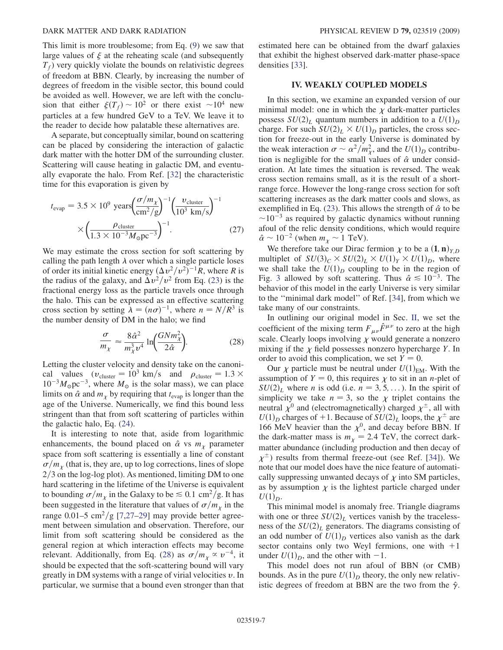This limit is more troublesome; from Eq. ([9\)](#page-2-0) we saw that large values of  $\xi$  at the reheating scale (and subsequently  $T_f$ ) very quickly violate the bounds on relativistic degrees of freedom at BBN. Clearly, by increasing the number of degrees of freedom in the visible sector, this bound could be avoided as well. However, we are left with the conclusion that either  $\xi(T_f) \sim 10^2$  or there exist  $\sim 10^4$  new particles at a few hundred GeV to a TeV. We leave it to the reader to decide how palatable these alternatives are.

A separate, but conceptually similar, bound on scattering can be placed by considering the interaction of galactic dark matter with the hotter DM of the surrounding cluster. Scattering will cause heating in galactic DM, and eventually evaporate the halo. From Ref. [\[32](#page-11-0)] the characteristic time for this evaporation is given by

$$
t_{\text{evap}} = 3.5 \times 10^9 \text{ years} \left( \frac{\sigma/m_\chi}{\text{cm}^2/\text{g}} \right)^{-1} \left( \frac{\nu_{\text{cluster}}}{10^3 \text{ km/s}} \right)^{-1} \times \left( \frac{\rho_{\text{cluster}}}{1.3 \times 10^{-3} M_{\odot} \text{pc}^{-3}} \right)^{-1} . \tag{27}
$$

We may estimate the cross section for soft scattering by calling the path length  $\lambda$  over which a single particle loses of order its initial kinetic energy  $(\Delta v^2/v^2)^{-1}R$ , where R is the radius of the galaxy, and  $\Delta v^2/v^2$  from Eq. [\(23](#page-5-0)) is the fractional energy loss as the particle travels once through the halo. This can be expressed as an effective scattering cross section by setting  $\lambda = (n\sigma)^{-1}$ , where  $n = N/R^3$  is the number density of DM in the halo; we find

$$
\frac{\sigma}{m_{\chi}} \approx \frac{8\hat{\alpha}^2}{m_{\chi}^3 v^4} \ln \left( \frac{GNm_{\chi}^2}{2\hat{\alpha}} \right).
$$
 (28)

Letting the cluster velocity and density take on the canonical values  $(v_{\text{cluster}} = 10^3 \text{ km/s} \text{ and } \rho_{\text{cluster}} = 1.3 \times$  $10^{-3} M_{\odot}$  pc<sup>-3</sup>, where  $M_{\odot}$  is the solar mass), we can place limits on  $\hat{\alpha}$  and  $m_{\chi}$  by requiring that  $t_{\text{evap}}$  is longer than the age of the Universe. Numerically, we find this bound less stringent than that from soft scattering of particles within the galactic halo, Eq. [\(24](#page-5-0)).

It is interesting to note that, aside from logarithmic enhancements, the bound placed on  $\hat{\alpha}$  vs  $m_{\gamma}$  parameter space from soft scattering is essentially a line of constant  $\sigma/m_\chi$  (that is, they are, up to log corrections, lines of slope  $2/3$  on the log-log plot). As mentioned, limiting DM to one hard scattering in the lifetime of the Universe is equivalent to bounding  $\sigma/m_\chi$  in the Galaxy to be  $\leq 0.1 \text{ cm}^2/\text{g}$ . It has been suggested in the literature that values of  $\sigma/m_{\chi}$  in the range 0.01–5 cm<sup>2</sup>/g [\[7,](#page-10-0)27–29] may provide better agreement between simulation and observation. Therefore, our limit from soft scattering should be considered as the general region at which interaction effects may become relevant. Additionally, from Eq. (28) as  $\sigma/m_{\chi} \propto v^{-4}$ , it should be expected that the soft-scattering bound will vary greatly in DM systems with a range of virial velocities  $v$ . In particular, we surmise that a bound even stronger than that estimated here can be obtained from the dwarf galaxies that exhibit the highest observed dark-matter phase-space densities [\[33\]](#page-11-0).

### IV. WEAKLY COUPLED MODELS

In this section, we examine an expanded version of our minimal model: one in which the  $\chi$  dark-matter particles possess  $SU(2)_L$  quantum numbers in addition to a  $U(1)_D$ charge. For such  $SU(2)_L \times U(1)_D$  particles, the cross section for freeze-out in the early Universe is dominated by the weak interaction  $\sigma \sim \alpha^2/m_{\chi}^2$ , and the  $U(1)_D$  contribution is negligible for the small values of  $\hat{\alpha}$  under consideration. At late times the situation is reversed. The weak cross section remains small, as it is the result of a shortrange force. However the long-range cross section for soft scattering increases as the dark matter cools and slows, as exemplified in Eq. ([23](#page-5-0)). This allows the strength of  $\hat{\alpha}$  to be  $\sim$ 10<sup>-3</sup> as required by galactic dynamics without running afoul of the relic density conditions, which would require  $\hat{\alpha} \sim 10^{-2}$  (when  $m_{\chi} \sim 1$  TeV).

We therefore take our Dirac fermion  $\chi$  to be a  $(1, n)_{Y,D}$ multiplet of  $SU(3)_C \times SU(2)_L \times U(1)_Y \times U(1)_D$ , where we shall take the  $U(1)_D$  coupling to be in the region of Fig. [3](#page-4-0) allowed by soft scattering. Thus  $\hat{\alpha} \le 10^{-3}$ . The behavior of this model in the early Universe is very similar to the ''minimal dark model'' of Ref. [\[34\]](#page-11-0), from which we take many of our constraints.

In outlining our original model in Sec. II, we set the coefficient of the mixing term  $F_{\mu\nu}\hat{F}^{\mu\nu}$  to zero at the high scale. Clearly loops involving  $\chi$  would generate a nonzero mixing if the  $\chi$  field possesses nonzero hypercharge Y. In order to avoid this complication, we set  $Y = 0$ .

Our  $\chi$  particle must be neutral under  $U(1)_{EM}$ . With the assumption of  $Y = 0$ , this requires  $\chi$  to sit in an *n*-plet of  $SU(2)<sub>L</sub>$  where *n* is odd (i.e.  $n = 3, 5, \ldots$ ). In the spirit of simplicity we take  $n = 3$ , so the  $\chi$  triplet contains the neutral  $\chi^0$  and (electromagnetically) charged  $\chi^{\pm}$ , all with  $U(1)_D$  charges of +1. Because of  $SU(2)_L$  loops, the  $\chi^{\pm}$  are 166 MeV heavier than the  $\chi^0$ , and decay before BBN. If the dark-matter mass is  $m<sub>x</sub> = 2.4$  TeV, the correct darkmatter abundance (including production and then decay of  $\chi^{\pm}$ ) results from thermal freeze-out (see Ref. [[34](#page-11-0)]). We note that our model does have the nice feature of automatically suppressing unwanted decays of  $\chi$  into SM particles, as by assumption  $\chi$  is the lightest particle charged under  $U(1)_D$ .

This minimal model is anomaly free. Triangle diagrams with one or three  $SU(2)_L$  vertices vanish by the tracelessness of the  $SU(2)_L$  generators. The diagrams consisting of an odd number of  $U(1)_D$  vertices also vanish as the dark sector contains only two Weyl fermions, one with  $+1$ under  $U(1)_D$ , and the other with -1.

This model does not run afoul of BBN (or CMB) bounds. As in the pure  $U(1)<sub>D</sub>$  theory, the only new relativistic degrees of freedom at BBN are the two from the  $\hat{\gamma}$ .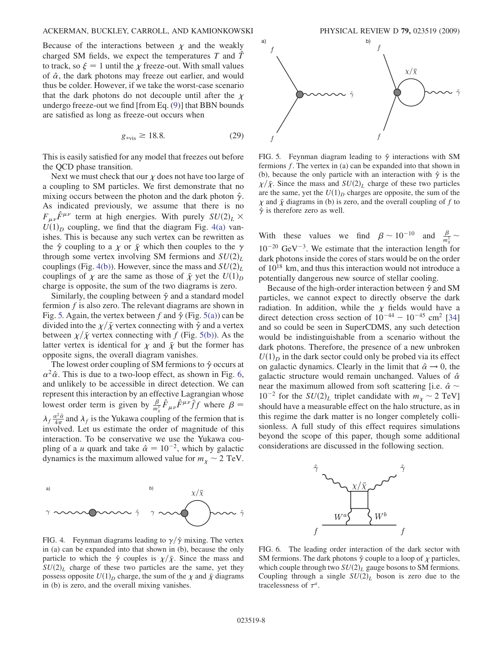#### ACKERMAN, BUCKLEY, CARROLL, AND KAMIONKOWSKI PHYSICAL REVIEW D 79, 023519 (2009)

Because of the interactions between  $\chi$  and the weakly charged SM fields, we expect the temperatures  $T$  and  $\ddot{T}$ to track, so  $\xi = 1$  until the  $\chi$  freeze-out. With small values of  $\hat{\alpha}$ , the dark photons may freeze out earlier, and would thus be colder. However, if we take the worst-case scenario that the dark photons do not decouple until after the  $\chi$ undergo freeze-out we find [from Eq. [\(9](#page-2-0))] that BBN bounds are satisfied as long as freeze-out occurs when

$$
g_{\text{*vis}} \ge 18.8. \tag{29}
$$

This is easily satisfied for any model that freezes out before the QCD phase transition.

Next we must check that our  $\chi$  does not have too large of a coupling to SM particles. We first demonstrate that no mixing occurs between the photon and the dark photon  $\hat{\gamma}$ . As indicated previously, we assume that there is no  $F_{\mu\nu}\hat{F}^{\mu\nu}$  term at high energies. With purely  $SU(2)_L \times$  $U(1)_D$  coupling, we find that the diagram Fig. 4(a) vanishes. This is because any such vertex can be rewritten as the  $\hat{\gamma}$  coupling to a  $\chi$  or  $\bar{\chi}$  which then couples to the  $\gamma$ through some vertex involving SM fermions and  $SU(2)_L$ couplings (Fig. 4(b)). However, since the mass and  $SU(2)_L$ couplings of  $\chi$  are the same as those of  $\bar{\chi}$  yet the  $U(1)_D$ charge is opposite, the sum of the two diagrams is zero.

Similarly, the coupling between  $\hat{\gamma}$  and a standard model fermion  $f$  is also zero. The relevant diagrams are shown in Fig. 5. Again, the vertex between f and  $\hat{\gamma}$  (Fig. 5(a)) can be divided into the  $\chi/\bar{\chi}$  vertex connecting with  $\hat{\gamma}$  and a vertex between  $\chi/\bar{\chi}$  vertex connecting with f (Fig. 5(b)). As the latter vertex is identical for  $\chi$  and  $\bar{\chi}$  but the former has opposite signs, the overall diagram vanishes.

The lowest order coupling of SM fermions to  $\hat{\gamma}$  occurs at  $\alpha^2\hat{\alpha}$ . This is due to a two-loop effect, as shown in Fig. 6, and unlikely to be accessible in direct detection. We can represent this interaction by an effective Lagrangian whose lowest order term is given by  $\frac{\beta}{m_x^3} \hat{F}_{\mu\nu} \hat{F}^{\mu\nu} \bar{f} f$  where  $\beta =$  $\lambda_f \frac{\alpha^2 \hat{\alpha}}{4\pi}$  and  $\lambda_f$  is the Yukawa coupling of the fermion that is involved. Let us estimate the order of magnitude of this interaction. To be conservative we use the Yukawa coupling of a *u* quark and take  $\hat{\alpha} = 10^{-2}$ , which by galactic dynamics is the maximum allowed value for  $m_{\chi} \sim 2$  TeV.



FIG. 5. Feynman diagram leading to  $\hat{\gamma}$  interactions with SM fermions f. The vertex in (a) can be expanded into that shown in (b), because the only particle with an interaction with  $\hat{\gamma}$  is the  $\chi/\bar{\chi}$ . Since the mass and  $SU(2)_L$  charge of these two particles are the same, yet the  $U(1)_D$  charges are opposite, the sum of the  $\chi$  and  $\bar{\chi}$  diagrams in (b) is zero, and the overall coupling of f to  $\hat{\gamma}$  is therefore zero as well.

With these values we find  $\beta \sim 10^{-10}$  and  $\frac{\beta}{m_x^3} \sim$  $10^{-20}$  GeV<sup>-3</sup>. We estimate that the interaction length for dark photons inside the cores of stars would be on the order of 1018 km, and thus this interaction would not introduce a potentially dangerous new source of stellar cooling.

Because of the high-order interaction between  $\hat{\gamma}$  and SM particles, we cannot expect to directly observe the dark radiation. In addition, while the  $\chi$  fields would have a direct detection cross section of  $10^{-44} - 10^{-45}$  cm<sup>2</sup> [\[34\]](#page-11-0) and so could be seen in SuperCDMS, any such detection would be indistinguishable from a scenario without the dark photons. Therefore, the presence of a new unbroken  $U(1)<sub>D</sub>$  in the dark sector could only be probed via its effect on galactic dynamics. Clearly in the limit that  $\hat{\alpha} \rightarrow 0$ , the galactic structure would remain unchanged. Values of  $\hat{\alpha}$ near the maximum allowed from soft scattering [i.e.  $\hat{\alpha} \sim$  $10^{-2}$  for the  $SU(2)_L$  triplet candidate with  $m_\chi \sim 2 \text{ TeV}$ ] should have a measurable effect on the halo structure, as in this regime the dark matter is no longer completely collisionless. A full study of this effect requires simulations beyond the scope of this paper, though some additional considerations are discussed in the following section.





FIG. 4. Feynman diagrams leading to  $\gamma/\hat{\gamma}$  mixing. The vertex in (a) can be expanded into that shown in (b), because the only particle to which the  $\hat{\gamma}$  couples is  $\chi/\bar{\chi}$ . Since the mass and  $SU(2)_L$  charge of these two particles are the same, yet they possess opposite  $U(1)_D$  charge, the sum of the  $\chi$  and  $\bar{\chi}$  diagrams in (b) is zero, and the overall mixing vanishes.

FIG. 6. The leading order interaction of the dark sector with SM fermions. The dark photons  $\hat{\gamma}$  couple to a loop of  $\chi$  particles, which couple through two  $SU(2)_L$  gauge bosons to SM fermions. Coupling through a single  $SU(2)_L$  boson is zero due to the tracelessness of  $\tau^a$ .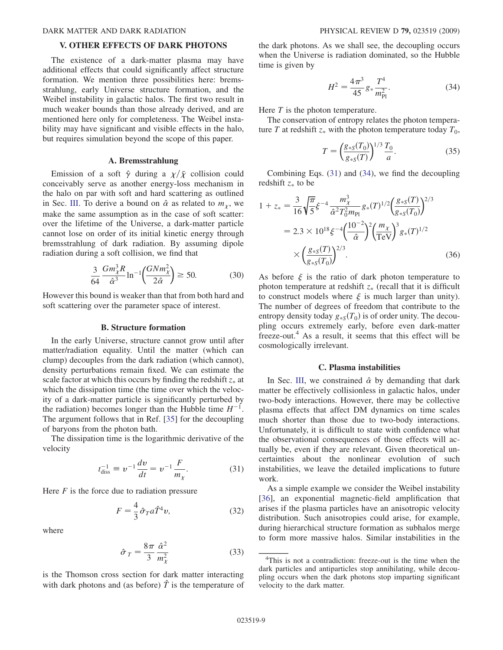#### V. OTHER EFFECTS OF DARK PHOTONS

The existence of a dark-matter plasma may have additional effects that could significantly affect structure formation. We mention three possibilities here: bremsstrahlung, early Universe structure formation, and the Weibel instability in galactic halos. The first two result in much weaker bounds than those already derived, and are mentioned here only for completeness. The Weibel instability may have significant and visible effects in the halo, but requires simulation beyond the scope of this paper.

### A. Bremsstrahlung

Emission of a soft  $\hat{\gamma}$  during a  $\chi/\bar{\chi}$  collision could conceivably serve as another energy-loss mechanism in the halo on par with soft and hard scattering as outlined in Sec. III. To derive a bound on  $\hat{\alpha}$  as related to  $m_{\gamma}$ , we make the same assumption as in the case of soft scatter: over the lifetime of the Universe, a dark-matter particle cannot lose on order of its initial kinetic energy through bremsstrahlung of dark radiation. By assuming dipole radiation during a soft collision, we find that

$$
\frac{3}{64} \frac{Gm_{\chi}^3 R}{\hat{\alpha}^3} \ln^{-1} \left( \frac{G N m_{\chi}^2}{2 \hat{\alpha}} \right) \ge 50. \tag{30}
$$

However this bound is weaker than that from both hard and soft scattering over the parameter space of interest.

### B. Structure formation

In the early Universe, structure cannot grow until after matter/radiation equality. Until the matter (which can clump) decouples from the dark radiation (which cannot), density perturbations remain fixed. We can estimate the scale factor at which this occurs by finding the redshift  $z_*$  at which the dissipation time (the time over which the velocity of a dark-matter particle is significantly perturbed by the radiation) becomes longer than the Hubble time  $H^{-1}$ . The argument follows that in Ref. [\[35\]](#page-11-0) for the decoupling of baryons from the photon bath.

The dissipation time is the logarithmic derivative of the velocity

$$
t_{\text{diss}}^{-1} \equiv v^{-1} \frac{dv}{dt} = v^{-1} \frac{F}{m_{\chi}}.
$$
 (31)

Here  $F$  is the force due to radiation pressure

$$
F = \frac{4}{3}\hat{\sigma}_T a \hat{T}^4 v,\tag{32}
$$

where

$$
\hat{\sigma}_T = \frac{8\pi}{3} \frac{\hat{\alpha}^2}{m_\chi^2} \tag{33}
$$

is the Thomson cross section for dark matter interacting with dark photons and (as before)  $\hat{T}$  is the temperature of the dark photons. As we shall see, the decoupling occurs when the Universe is radiation dominated, so the Hubble time is given by

$$
H^2 = \frac{4\pi^3}{45} g_* \frac{T^4}{m_{\rm Pl}^2}.
$$
 (34)

Here  $T$  is the photon temperature.

The conservation of entropy relates the photon temperature T at redshift  $z_*$  with the photon temperature today  $T_0$ ,

$$
T = \left(\frac{g_{*S}(T_0)}{g_{*S}(T)}\right)^{1/3} \frac{T_0}{a}.
$$
 (35)

Combining Eqs. (31) and (34), we find the decoupling redshift  $z_*$  to be

$$
1 + z_* = \frac{3}{16} \sqrt{\frac{\pi}{5}} \xi^{-4} \frac{m_{\chi}^3}{\hat{\alpha}^2 T_0^2 m_{\text{Pl}}} g_*(T)^{1/2} \left(\frac{g_{*S}(T)}{g_{*S}(T_0)}\right)^{2/3}
$$
  
= 2.3 × 10<sup>18</sup>  $\xi^{-4} \left(\frac{10^{-2}}{\hat{\alpha}}\right)^2 \left(\frac{m_{\chi}}{\text{TeV}}\right)^3 g_*(T)^{1/2}$   
×  $\left(\frac{g_{*S}(T)}{g_{*S}(T_0)}\right)^{2/3}$ . (36)

As before  $\xi$  is the ratio of dark photon temperature to photon temperature at redshift  $z_*$  (recall that it is difficult to construct models where  $\xi$  is much larger than unity). The number of degrees of freedom that contribute to the entropy density today  $g_{*S}(T_0)$  is of order unity. The decoupling occurs extremely early, before even dark-matter freeze-out.4 As a result, it seems that this effect will be cosmologically irrelevant.

#### C. Plasma instabilities

In Sec. III, we constrained  $\hat{\alpha}$  by demanding that dark matter be effectively collisionless in galactic halos, under two-body interactions. However, there may be collective plasma effects that affect DM dynamics on time scales much shorter than those due to two-body interactions. Unfortunately, it is difficult to state with confidence what the observational consequences of those effects will actually be, even if they are relevant. Given theoretical uncertainties about the nonlinear evolution of such instabilities, we leave the detailed implications to future work.

As a simple example we consider the Weibel instability [\[36\]](#page-11-0), an exponential magnetic-field amplification that arises if the plasma particles have an anisotropic velocity distribution. Such anisotropies could arise, for example, during hierarchical structure formation as subhalos merge to form more massive halos. Similar instabilities in the

<sup>&</sup>lt;sup>4</sup>This is not a contradiction: freeze-out is the time when the dark particles and antiparticles stop annihilating, while decoupling occurs when the dark photons stop imparting significant velocity to the dark matter.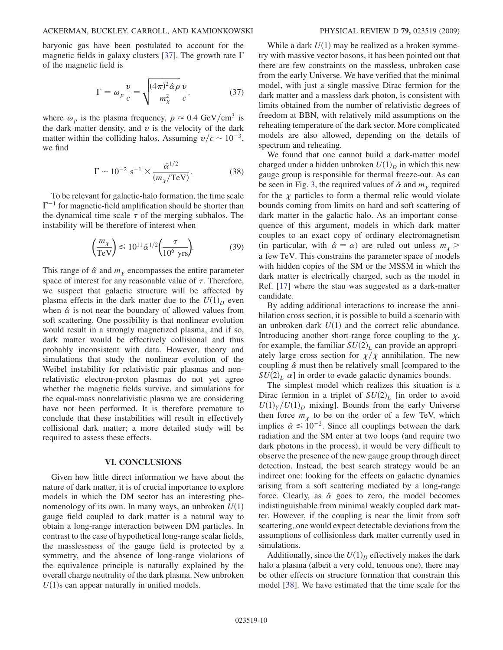baryonic gas have been postulated to account for the magnetic fields in galaxy clusters [\[37\]](#page-11-0). The growth rate  $\Gamma$ of the magnetic field is

$$
\Gamma = \omega_p \frac{v}{c} = \sqrt{\frac{(4\pi)^2 \hat{\alpha} \rho}{m_\chi^2} \frac{v}{c}},\tag{37}
$$

where  $\omega_p$  is the plasma frequency,  $\rho \approx 0.4 \text{ GeV/cm}^3$  is the dark-matter density, and  $v$  is the velocity of the dark matter within the colliding halos. Assuming  $v/c \sim 10^{-3}$ , we find

$$
\Gamma \sim 10^{-2} \text{ s}^{-1} \times \frac{\hat{\alpha}^{1/2}}{(m_{\chi}/\text{TeV})}.
$$
 (38)

To be relevant for galactic-halo formation, the time scale  $\Gamma^{-1}$  for magnetic-field amplification should be shorter than the dynamical time scale  $\tau$  of the merging subhalos. The instability will be therefore of interest when

$$
\left(\frac{m_{\chi}}{\text{TeV}}\right) \lesssim 10^{11} \hat{\alpha}^{1/2} \left(\frac{\tau}{10^6 \text{ yrs}}\right). \tag{39}
$$

This range of  $\hat{\alpha}$  and  $m_{\gamma}$  encompasses the entire parameter space of interest for any reasonable value of  $\tau$ . Therefore, we suspect that galactic structure will be affected by plasma effects in the dark matter due to the  $U(1)<sub>D</sub>$  even when  $\hat{\alpha}$  is not near the boundary of allowed values from soft scattering. One possibility is that nonlinear evolution would result in a strongly magnetized plasma, and if so, dark matter would be effectively collisional and thus probably inconsistent with data. However, theory and simulations that study the nonlinear evolution of the Weibel instability for relativistic pair plasmas and nonrelativistic electron-proton plasmas do not yet agree whether the magnetic fields survive, and simulations for the equal-mass nonrelativistic plasma we are considering have not been performed. It is therefore premature to conclude that these instabilities will result in effectively collisional dark matter; a more detailed study will be required to assess these effects.

## VI. CONCLUSIONS

Given how little direct information we have about the nature of dark matter, it is of crucial importance to explore models in which the DM sector has an interesting phenomenology of its own. In many ways, an unbroken  $U(1)$ gauge field coupled to dark matter is a natural way to obtain a long-range interaction between DM particles. In contrast to the case of hypothetical long-range scalar fields, the masslessness of the gauge field is protected by a symmetry, and the absence of long-range violations of the equivalence principle is naturally explained by the overall charge neutrality of the dark plasma. New unbroken  $U(1)$ s can appear naturally in unified models.

While a dark  $U(1)$  may be realized as a broken symmetry with massive vector bosons, it has been pointed out that there are few constraints on the massless, unbroken case from the early Universe. We have verified that the minimal model, with just a single massive Dirac fermion for the dark matter and a massless dark photon, is consistent with limits obtained from the number of relativistic degrees of freedom at BBN, with relatively mild assumptions on the reheating temperature of the dark sector. More complicated models are also allowed, depending on the details of spectrum and reheating.

We found that one cannot build a dark-matter model charged under a hidden unbroken  $U(1)_D$  in which this new gauge group is responsible for thermal freeze-out. As can be seen in Fig. [3,](#page-4-0) the required values of  $\hat{\alpha}$  and  $m<sub>x</sub>$  required for the  $\chi$  particles to form a thermal relic would violate bounds coming from limits on hard and soft scattering of dark matter in the galactic halo. As an important consequence of this argument, models in which dark matter couples to an exact copy of ordinary electromagnetism (in particular, with  $\hat{\alpha} = \alpha$ ) are ruled out unless  $m_{\gamma}$ a few TeV. This constrains the parameter space of models with hidden copies of the SM or the MSSM in which the dark matter is electrically charged, such as the model in Ref. [17] where the stau was suggested as a dark-matter candidate.

By adding additional interactions to increase the annihilation cross section, it is possible to build a scenario with an unbroken dark  $U(1)$  and the correct relic abundance. Introducing another short-range force coupling to the  $\chi$ , for example, the familiar  $SU(2)_L$  can provide an appropriately large cross section for  $\chi/\bar{\chi}$  annihilation. The new coupling  $\hat{\alpha}$  must then be relatively small [compared to the  $SU(2)_L$   $\alpha$ ] in order to evade galactic dynamics bounds.

The simplest model which realizes this situation is a Dirac fermion in a triplet of  $SU(2)_L$  [in order to avoid  $U(1)_Y/U(1)_D$  mixing]. Bounds from the early Universe then force  $m<sub>x</sub>$  to be on the order of a few TeV, which implies  $\hat{\alpha} \leq 10^{-2}$ . Since all couplings between the dark radiation and the SM enter at two loops (and require two dark photons in the process), it would be very difficult to observe the presence of the new gauge group through direct detection. Instead, the best search strategy would be an indirect one: looking for the effects on galactic dynamics arising from a soft scattering mediated by a long-range force. Clearly, as  $\hat{\alpha}$  goes to zero, the model becomes indistinguishable from minimal weakly coupled dark matter. However, if the coupling is near the limit from soft scattering, one would expect detectable deviations from the assumptions of collisionless dark matter currently used in simulations.

Additionally, since the  $U(1)<sub>D</sub>$  effectively makes the dark halo a plasma (albeit a very cold, tenuous one), there may be other effects on structure formation that constrain this model [[38](#page-11-0)]. We have estimated that the time scale for the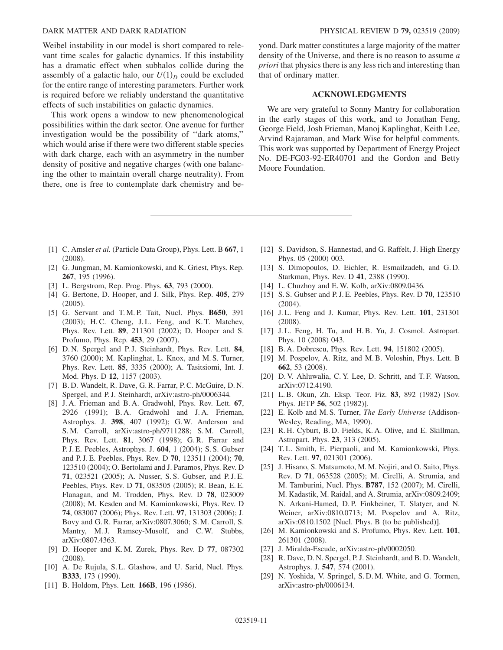<span id="page-10-0"></span>Weibel instability in our model is short compared to relevant time scales for galactic dynamics. If this instability has a dramatic effect when subhalos collide during the assembly of a galactic halo, our  $U(1)_D$  could be excluded for the entire range of interesting parameters. Further work is required before we reliably understand the quantitative effects of such instabilities on galactic dynamics.

This work opens a window to new phenomenological possibilities within the dark sector. One avenue for further investigation would be the possibility of ''dark atoms,'' which would arise if there were two different stable species with dark charge, each with an asymmetry in the number density of positive and negative charges (with one balancing the other to maintain overall charge neutrality). From there, one is free to contemplate dark chemistry and beyond. Dark matter constitutes a large majority of the matter density of the Universe, and there is no reason to assume a priori that physics there is any less rich and interesting than that of ordinary matter.

# ACKNOWLEDGMENTS

We are very grateful to Sonny Mantry for collaboration in the early stages of this work, and to Jonathan Feng, George Field, Josh Frieman, Manoj Kaplinghat, Keith Lee, Arvind Rajaraman, and Mark Wise for helpful comments. This work was supported by Department of Energy Project No. DE-FG03-92-ER40701 and the Gordon and Betty Moore Foundation.

- [1] C. Amsler et al. (Particle Data Group), Phys. Lett. B 667, 1 (2008).
- [2] G. Jungman, M. Kamionkowski, and K. Griest, Phys. Rep. 267, 195 (1996).
- [3] L. Bergstrom, Rep. Prog. Phys. **63**, 793 (2000).
- [4] G. Bertone, D. Hooper, and J. Silk, Phys. Rep. 405, 279 (2005).
- [5] G. Servant and T.M.P. Tait, Nucl. Phys. **B650**, 391 (2003); H. C. Cheng, J. L. Feng, and K. T. Matchev, Phys. Rev. Lett. 89, 211301 (2002); D. Hooper and S. Profumo, Phys. Rep. 453, 29 (2007).
- [6] D. N. Spergel and P. J. Steinhardt, Phys. Rev. Lett. 84, 3760 (2000); M. Kaplinghat, L. Knox, and M. S. Turner, Phys. Rev. Lett. 85, 3335 (2000); A. Tasitsiomi, Int. J. Mod. Phys. D 12, 1157 (2003).
- [7] B. D. Wandelt, R. Dave, G. R. Farrar, P. C. McGuire, D. N. Spergel, and P.J. Steinhardt, arXiv:astro-ph/0006344.
- [8] J.A. Frieman and B.A. Gradwohl, Phys. Rev. Lett. 67, 2926 (1991); B. A. Gradwohl and J. A. Frieman, Astrophys. J. 398, 407 (1992); G. W. Anderson and S. M. Carroll, arXiv:astro-ph/9711288; S. M. Carroll, Phys. Rev. Lett. 81, 3067 (1998); G. R. Farrar and P. J. E. Peebles, Astrophys. J. 604, 1 (2004); S. S. Gubser and P. J. E. Peebles, Phys. Rev. D 70, 123511 (2004); 70, 123510 (2004); O. Bertolami and J. Paramos, Phys. Rev. D 71, 023521 (2005); A. Nusser, S. S. Gubser, and P. J. E. Peebles, Phys. Rev. D 71, 083505 (2005); R. Bean, E. E. Flanagan, and M. Trodden, Phys. Rev. D 78, 023009 (2008); M. Kesden and M. Kamionkowski, Phys. Rev. D 74, 083007 (2006); Phys. Rev. Lett. 97, 131303 (2006); J. Bovy and G. R. Farrar, arXiv:0807.3060; S. M. Carroll, S. Mantry, M.J. Ramsey-Musolf, and C.W. Stubbs, arXiv:0807.4363.
- [9] D. Hooper and K. M. Zurek, Phys. Rev. D 77, 087302 (2008).
- [10] A. De Rujula, S.L. Glashow, and U. Sarid, Nucl. Phys. B333, 173 (1990).
- [11] B. Holdom, Phys. Lett. **166B**, 196 (1986).
- [12] S. Davidson, S. Hannestad, and G. Raffelt, J. High Energy Phys. 05 (2000) 003.
- [13] S. Dimopoulos, D. Eichler, R. Esmailzadeh, and G.D. Starkman, Phys. Rev. D 41, 2388 (1990).
- [14] L. Chuzhoy and E. W. Kolb, arXiv:0809.0436.
- [15] S. S. Gubser and P. J. E. Peebles, Phys. Rev. D **70**, 123510 (2004).
- [16] J.L. Feng and J. Kumar, Phys. Rev. Lett. **101**, 231301 (2008).
- [17] J.L. Feng, H. Tu, and H.B. Yu, J. Cosmol. Astropart. Phys. 10 (2008) 043.
- [18] B. A. Dobrescu, Phys. Rev. Lett. **94**, 151802 (2005).
- [19] M. Pospelov, A. Ritz, and M.B. Voloshin, Phys. Lett. B 662, 53 (2008).
- [20] D. V. Ahluwalia, C. Y. Lee, D. Schritt, and T. F. Watson, arXiv:0712.4190.
- [21] L. B. Okun, Zh. Eksp. Teor. Fiz. 83, 892 (1982) [Sov. Phys. JETP 56, 502 (1982)].
- [22] E. Kolb and M. S. Turner, The Early Universe (Addison-Wesley, Reading, MA, 1990).
- [23] R. H. Cyburt, B. D. Fields, K. A. Olive, and E. Skillman, Astropart. Phys. 23, 313 (2005).
- [24] T.L. Smith, E. Pierpaoli, and M. Kamionkowski, Phys. Rev. Lett. 97, 021301 (2006).
- [25] J. Hisano, S. Matsumoto, M. M. Nojiri, and O. Saito, Phys. Rev. D 71, 063528 (2005); M. Cirelli, A. Strumia, and M. Tamburini, Nucl. Phys. B787, 152 (2007); M. Cirelli, M. Kadastik, M. Raidal, and A. Strumia, arXiv:0809.2409; N. Arkani-Hamed, D. P. Finkbeiner, T. Slatyer, and N. Weiner, arXiv:0810.0713; M. Pospelov and A. Ritz, arXiv:0810.1502 [Nucl. Phys. B (to be published)].
- [26] M. Kamionkowski and S. Profumo, Phys. Rev. Lett. 101, 261301 (2008).
- [27] J. Miralda-Escude, arXiv:astro-ph/0002050.
- [28] R. Dave, D. N. Spergel, P. J. Steinhardt, and B. D. Wandelt, Astrophys. J. 547, 574 (2001).
- [29] N. Yoshida, V. Springel, S. D. M. White, and G. Tormen, arXiv:astro-ph/0006134.